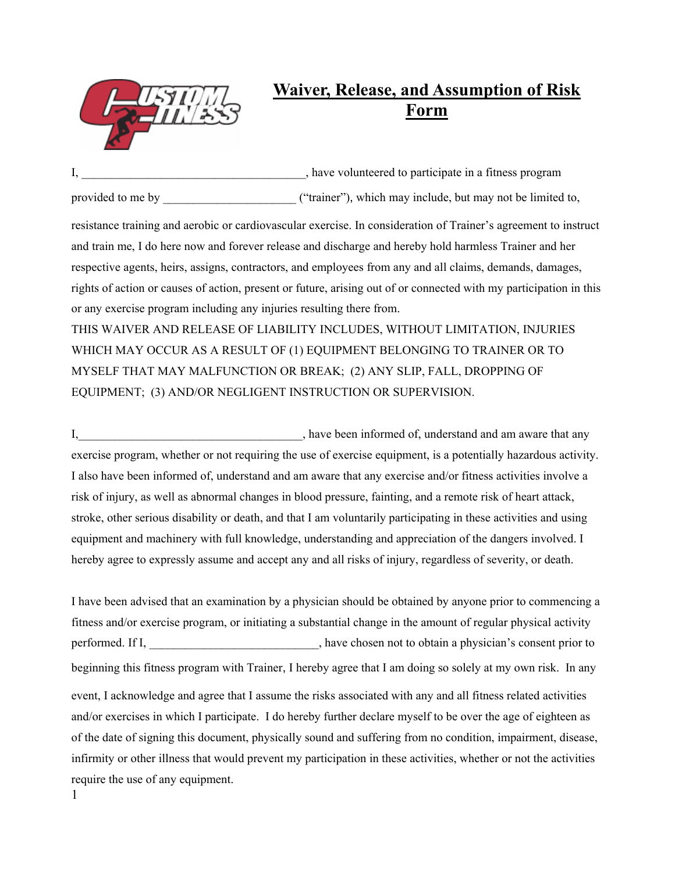

## **Waiver, Release, and Assumption of Risk Form**

I, have volunteered to participate in a fitness program provided to me by  $($ "trainer"), which may include, but may not be limited to,

resistance training and aerobic or cardiovascular exercise. In consideration of Trainer's agreement to instruct and train me, I do here now and forever release and discharge and hereby hold harmless Trainer and her respective agents, heirs, assigns, contractors, and employees from any and all claims, demands, damages, rights of action or causes of action, present or future, arising out of or connected with my participation in this or any exercise program including any injuries resulting there from.

THIS WAIVER AND RELEASE OF LIABILITY INCLUDES, WITHOUT LIMITATION, INJURIES WHICH MAY OCCUR AS A RESULT OF (1) EQUIPMENT BELONGING TO TRAINER OR TO MYSELF THAT MAY MALFUNCTION OR BREAK; (2) ANY SLIP, FALL, DROPPING OF EQUIPMENT; (3) AND/OR NEGLIGENT INSTRUCTION OR SUPERVISION.

I, have been informed of, understand and am aware that any exercise program, whether or not requiring the use of exercise equipment, is a potentially hazardous activity. I also have been informed of, understand and am aware that any exercise and/or fitness activities involve a risk of injury, as well as abnormal changes in blood pressure, fainting, and a remote risk of heart attack, stroke, other serious disability or death, and that I am voluntarily participating in these activities and using equipment and machinery with full knowledge, understanding and appreciation of the dangers involved. I hereby agree to expressly assume and accept any and all risks of injury, regardless of severity, or death.

I have been advised that an examination by a physician should be obtained by anyone prior to commencing a fitness and/or exercise program, or initiating a substantial change in the amount of regular physical activity performed. If I, have chosen not to obtain a physician's consent prior to beginning this fitness program with Trainer, I hereby agree that I am doing so solely at my own risk. In any event, I acknowledge and agree that I assume the risks associated with any and all fitness related activities and/or exercises in which I participate. I do hereby further declare myself to be over the age of eighteen as of the date of signing this document, physically sound and suffering from no condition, impairment, disease, infirmity or other illness that would prevent my participation in these activities, whether or not the activities require the use of any equipment.